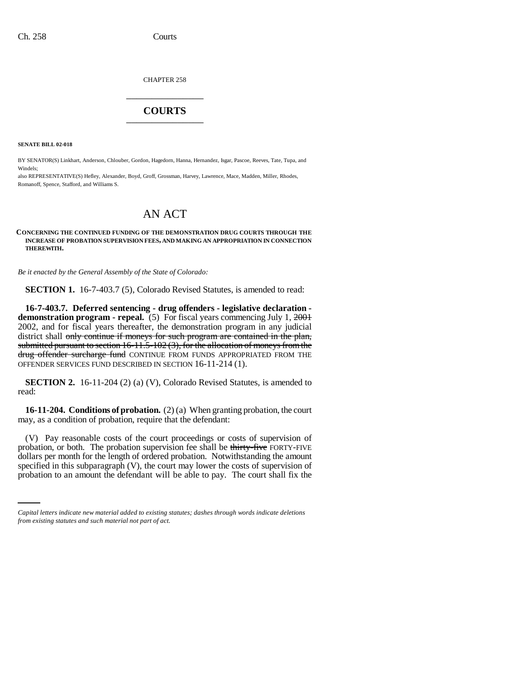CHAPTER 258 \_\_\_\_\_\_\_\_\_\_\_\_\_\_\_

## **COURTS** \_\_\_\_\_\_\_\_\_\_\_\_\_\_\_

**SENATE BILL 02-018**

BY SENATOR(S) Linkhart, Anderson, Chlouber, Gordon, Hagedorn, Hanna, Hernandez, Isgar, Pascoe, Reeves, Tate, Tupa, and Windels;

also REPRESENTATIVE(S) Hefley, Alexander, Boyd, Groff, Grossman, Harvey, Lawrence, Mace, Madden, Miller, Rhodes, Romanoff, Spence, Stafford, and Williams S.

## AN ACT

## **CONCERNING THE CONTINUED FUNDING OF THE DEMONSTRATION DRUG COURTS THROUGH THE INCREASE OF PROBATION SUPERVISION FEES, AND MAKING AN APPROPRIATION IN CONNECTION THEREWITH.**

*Be it enacted by the General Assembly of the State of Colorado:*

**SECTION 1.** 16-7-403.7 (5), Colorado Revised Statutes, is amended to read:

**16-7-403.7. Deferred sentencing - drug offenders - legislative declaration demonstration program - repeal.** (5) For fiscal years commencing July 1, 2001 2002, and for fiscal years thereafter, the demonstration program in any judicial district shall only continue if moneys for such program are contained in the plan, submitted pursuant to section 16-11.5-102 (3), for the allocation of moneys from the drug offender surcharge fund CONTINUE FROM FUNDS APPROPRIATED FROM THE OFFENDER SERVICES FUND DESCRIBED IN SECTION 16-11-214 (1).

**SECTION 2.** 16-11-204 (2) (a) (V), Colorado Revised Statutes, is amended to read:

**16-11-204. Conditions of probation.** (2) (a) When granting probation, the court may, as a condition of probation, require that the defendant:

dollars per month for the length of ordered probation. Notwithstanding the amount (V) Pay reasonable costs of the court proceedings or costs of supervision of probation, or both. The probation supervision fee shall be thirty-five FORTY-FIVE specified in this subparagraph (V), the court may lower the costs of supervision of probation to an amount the defendant will be able to pay. The court shall fix the

*Capital letters indicate new material added to existing statutes; dashes through words indicate deletions from existing statutes and such material not part of act.*